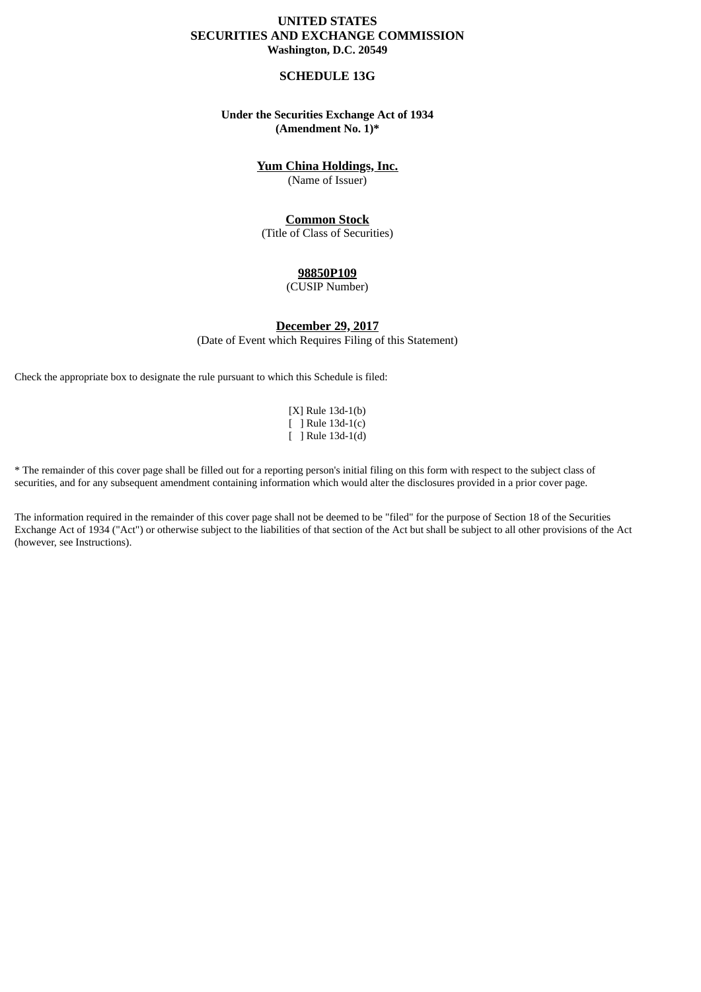# **UNITED STATES SECURITIES AND EXCHANGE COMMISSION Washington, D.C. 20549**

### **SCHEDULE 13G**

# **Under the Securities Exchange Act of 1934 (Amendment No. 1)\***

# **Yum China Holdings, Inc.**

(Name of Issuer)

### **Common Stock**

(Title of Class of Securities)

# **98850P109**

(CUSIP Number)

**December 29, 2017** (Date of Event which Requires Filing of this Statement)

Check the appropriate box to designate the rule pursuant to which this Schedule is filed:

[X] Rule 13d-1(b) [ ] Rule 13d-1(c) [ ] Rule 13d-1(d)

\* The remainder of this cover page shall be filled out for a reporting person's initial filing on this form with respect to the subject class of securities, and for any subsequent amendment containing information which would alter the disclosures provided in a prior cover page.

The information required in the remainder of this cover page shall not be deemed to be "filed" for the purpose of Section 18 of the Securities Exchange Act of 1934 ("Act") or otherwise subject to the liabilities of that section of the Act but shall be subject to all other provisions of the Act (however, see Instructions).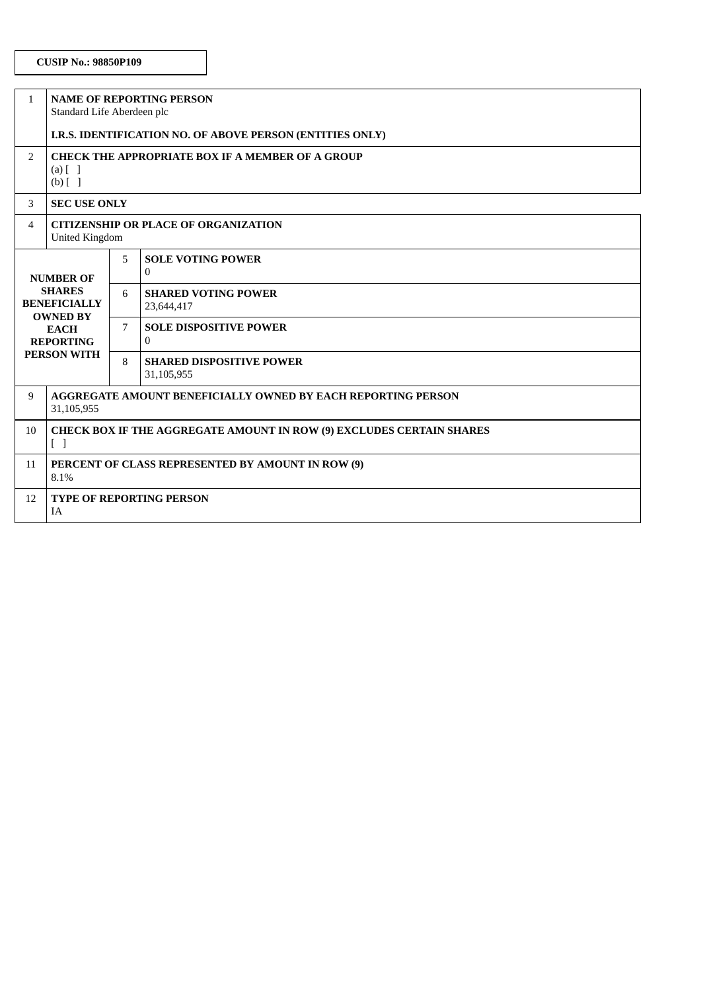| $\mathbf{1}$                                                                                                                         | <b>NAME OF REPORTING PERSON</b><br>Standard Life Aberdeen plc                                                   |   |                                               |  |  |  |
|--------------------------------------------------------------------------------------------------------------------------------------|-----------------------------------------------------------------------------------------------------------------|---|-----------------------------------------------|--|--|--|
|                                                                                                                                      | I.R.S. IDENTIFICATION NO. OF ABOVE PERSON (ENTITIES ONLY)                                                       |   |                                               |  |  |  |
| $\overline{2}$                                                                                                                       | <b>CHECK THE APPROPRIATE BOX IF A MEMBER OF A GROUP</b><br>$(a)$ $\begin{bmatrix} 1 \end{bmatrix}$<br>$(b)$ [ ] |   |                                               |  |  |  |
| 3                                                                                                                                    | <b>SEC USE ONLY</b>                                                                                             |   |                                               |  |  |  |
| 4                                                                                                                                    | <b>CITIZENSHIP OR PLACE OF ORGANIZATION</b><br><b>United Kingdom</b>                                            |   |                                               |  |  |  |
| <b>NUMBER OF</b><br><b>SHARES</b><br><b>BENEFICIALLY</b><br><b>OWNED BY</b><br><b>EACH</b><br><b>REPORTING</b><br><b>PERSON WITH</b> |                                                                                                                 | 5 | <b>SOLE VOTING POWER</b><br>$\Omega$          |  |  |  |
|                                                                                                                                      |                                                                                                                 | 6 | <b>SHARED VOTING POWER</b><br>23,644,417      |  |  |  |
|                                                                                                                                      |                                                                                                                 | 7 | <b>SOLE DISPOSITIVE POWER</b><br>$\Omega$     |  |  |  |
|                                                                                                                                      |                                                                                                                 | 8 | <b>SHARED DISPOSITIVE POWER</b><br>31,105,955 |  |  |  |
| 9                                                                                                                                    | <b>AGGREGATE AMOUNT BENEFICIALLY OWNED BY EACH REPORTING PERSON</b><br>31,105,955                               |   |                                               |  |  |  |
| 10                                                                                                                                   | <b>CHECK BOX IF THE AGGREGATE AMOUNT IN ROW (9) EXCLUDES CERTAIN SHARES</b><br>$\begin{bmatrix} \end{bmatrix}$  |   |                                               |  |  |  |
| 11                                                                                                                                   | PERCENT OF CLASS REPRESENTED BY AMOUNT IN ROW (9)<br>8.1%                                                       |   |                                               |  |  |  |
| 12                                                                                                                                   | <b>TYPE OF REPORTING PERSON</b><br><b>IA</b>                                                                    |   |                                               |  |  |  |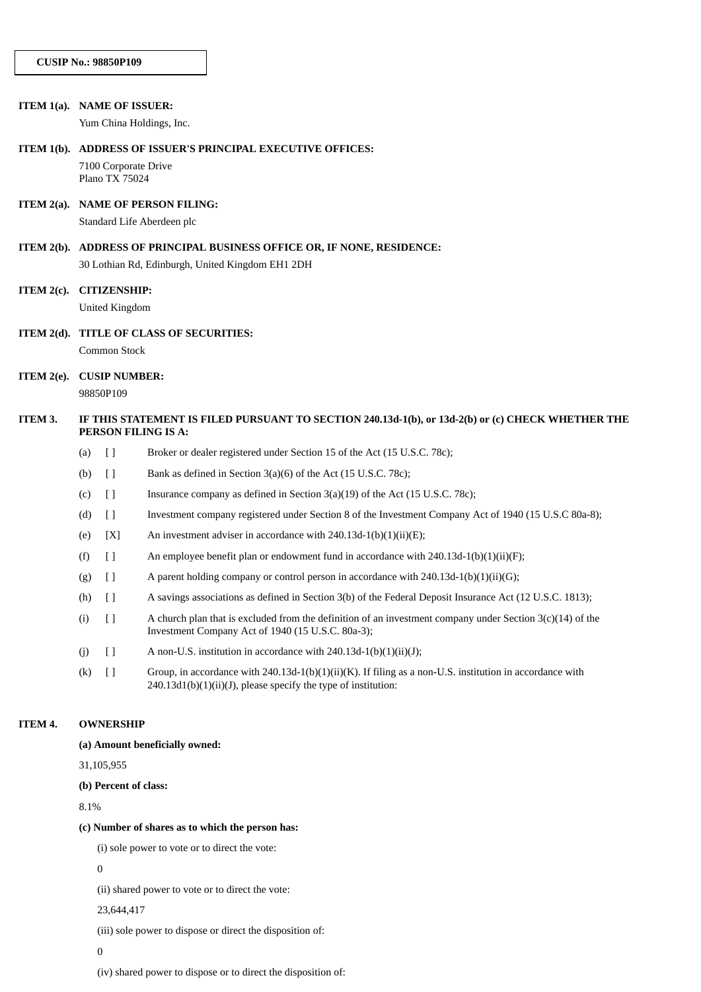|               | ITEM 1(a). NAME OF ISSUER:                                                                        |
|---------------|---------------------------------------------------------------------------------------------------|
|               | Yum China Holdings, Inc.                                                                          |
|               | ITEM 1(b). ADDRESS OF ISSUER'S PRINCIPAL EXECUTIVE OFFICES:                                       |
|               | 7100 Corporate Drive<br>Plano TX 75024                                                            |
|               | ITEM 2(a). NAME OF PERSON FILING:                                                                 |
|               | Standard Life Aberdeen plc                                                                        |
|               | ITEM 2(b). ADDRESS OF PRINCIPAL BUSINESS OFFICE OR, IF NONE, RESIDENCE:                           |
|               | 30 Lothian Rd, Edinburgh, United Kingdom EH1 2DH                                                  |
| ITEM $2(c)$ . | <b>CITIZENSHIP:</b>                                                                               |
|               | <b>United Kingdom</b>                                                                             |
|               | ITEM 2(d). TITLE OF CLASS OF SECURITIES:                                                          |
|               | Common Stock                                                                                      |
|               | ITEM 2(e). CUSIP NUMBER:                                                                          |
|               | 98850P109                                                                                         |
| ITEM 3.       | IF THIS STATEMENT IS FILED PURSUANT TO SECTION 240.13d-1(b), or 13d-2(b) or (c) CHECK WHETHER THE |

| $(a)$ [] | Broker or dealer registered under Section 15 of the Act (15 U.S.C. 78c); |
|----------|--------------------------------------------------------------------------|

- (b)  $\Box$  Bank as defined in Section 3(a)(6) of the Act (15 U.S.C. 78c);
- (c)  $\left[ \right]$  Insurance company as defined in Section 3(a)(19) of the Act (15 U.S.C. 78c);
- (d) [ ] Investment company registered under Section 8 of the Investment Company Act of 1940 (15 U.S.C 80a-8);
- (e)  $[X]$  An investment adviser in accordance with 240.13d-1(b)(1)(ii)(E);
- (f) [ ] An employee benefit plan or endowment fund in accordance with 240.13d-1(b)(1)(ii)(F);
- (g)  $\left[ \right]$  A parent holding company or control person in accordance with 240.13d-1(b)(1)(ii)(G);
- (h) [ ] A savings associations as defined in Section 3(b) of the Federal Deposit Insurance Act (12 U.S.C. 1813);
- (i)  $\left[ \ \right]$  A church plan that is excluded from the definition of an investment company under Section 3(c)(14) of the Investment Company Act of 1940 (15 U.S.C. 80a-3);
- (j)  $[$  ] A non-U.S. institution in accordance with 240.13d-1(b)(1)(ii)(J);
- (k) [ ] Group, in accordance with 240.13d-1(b)(1)(ii)(K). If filing as a non-U.S. institution in accordance with 240.13d1(b)(1)(ii)(J), please specify the type of institution:

#### **ITEM 4. OWNERSHIP**

#### **(a) Amount beneficially owned:**

**PERSON FILING IS A:**

31,105,955

#### **(b) Percent of class:**

8.1%

### **(c) Number of shares as to which the person has:**

(i) sole power to vote or to direct the vote:

0

(ii) shared power to vote or to direct the vote:

23,644,417

(iii) sole power to dispose or direct the disposition of:

0

(iv) shared power to dispose or to direct the disposition of: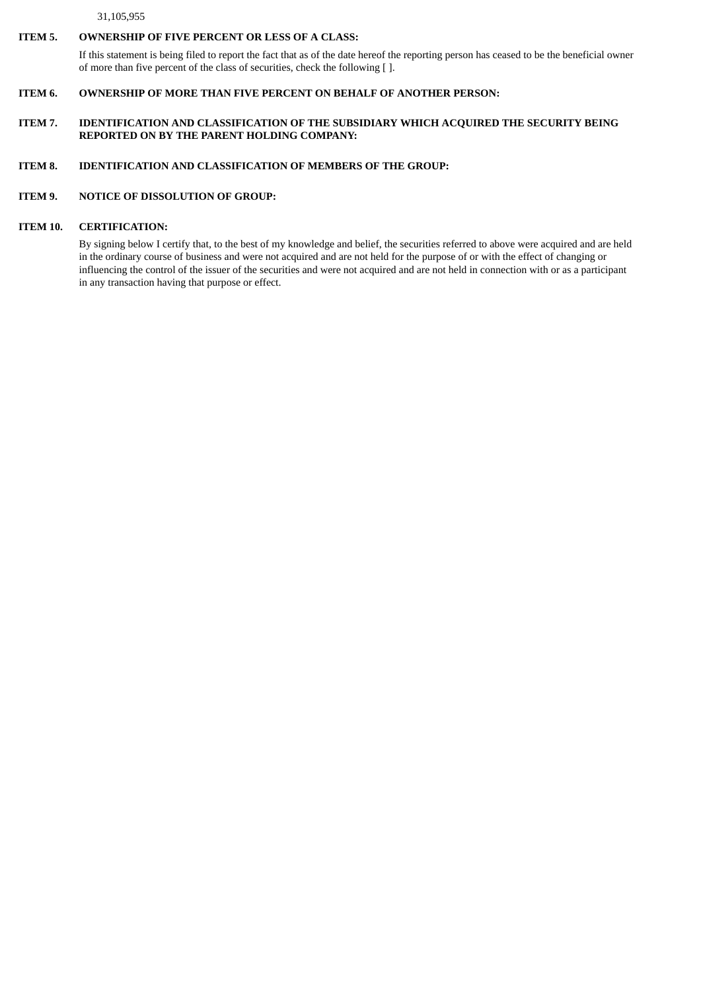#### 31,105,955

### **ITEM 5. OWNERSHIP OF FIVE PERCENT OR LESS OF A CLASS:**

If this statement is being filed to report the fact that as of the date hereof the reporting person has ceased to be the beneficial owner of more than five percent of the class of securities, check the following [ ].

### **ITEM 6. OWNERSHIP OF MORE THAN FIVE PERCENT ON BEHALF OF ANOTHER PERSON:**

### **ITEM 7. IDENTIFICATION AND CLASSIFICATION OF THE SUBSIDIARY WHICH ACQUIRED THE SECURITY BEING REPORTED ON BY THE PARENT HOLDING COMPANY:**

## **ITEM 8. IDENTIFICATION AND CLASSIFICATION OF MEMBERS OF THE GROUP:**

### **ITEM 9. NOTICE OF DISSOLUTION OF GROUP:**

# **ITEM 10. CERTIFICATION:**

By signing below I certify that, to the best of my knowledge and belief, the securities referred to above were acquired and are held in the ordinary course of business and were not acquired and are not held for the purpose of or with the effect of changing or influencing the control of the issuer of the securities and were not acquired and are not held in connection with or as a participant in any transaction having that purpose or effect.